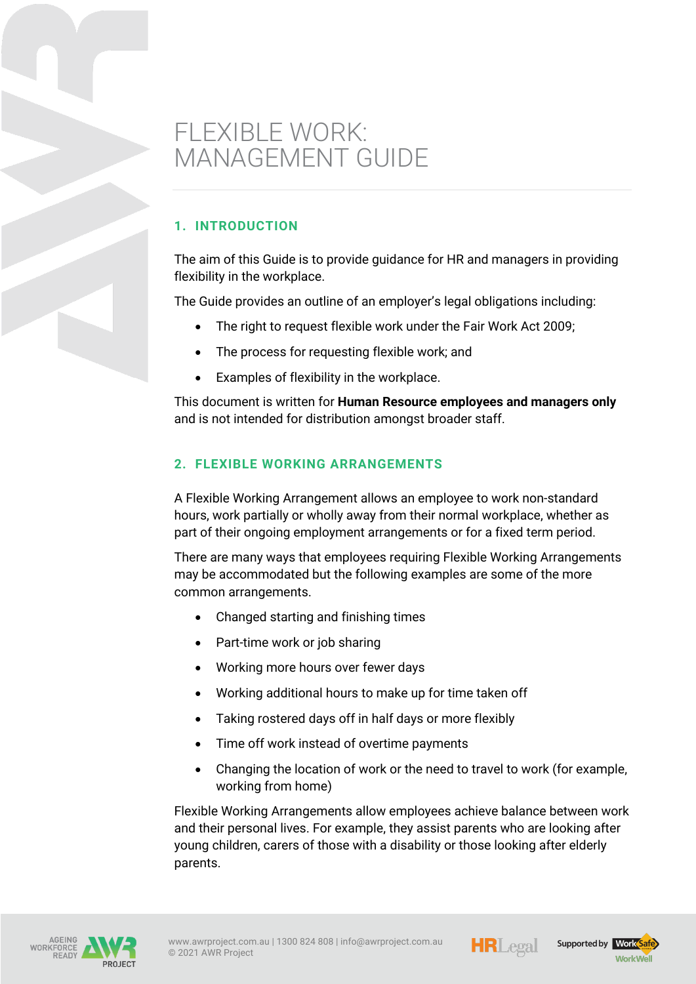# FLEXIBLE WORK: MANAGEMENT GUIDE

## **1. INTRODUCTION**

The aim of this Guide is to provide guidance for HR and managers in providing flexibility in the workplace.

The Guide provides an outline of an employer's legal obligations including:

- The right to request flexible work under the Fair Work Act 2009;
- The process for requesting flexible work; and
- Examples of flexibility in the workplace.

This document is written for **Human Resource employees and managers only** and is not intended for distribution amongst broader staff.

## **2. FLEXIBLE WORKING ARRANGEMENTS**

A Flexible Working Arrangement allows an employee to work non-standard hours, work partially or wholly away from their normal workplace, whether as part of their ongoing employment arrangements or for a fixed term period.

There are many ways that employees requiring Flexible Working Arrangements may be accommodated but the following examples are some of the more common arrangements.

- Changed starting and finishing times
- Part-time work or job sharing
- Working more hours over fewer days
- Working additional hours to make up for time taken off
- Taking rostered days off in half days or more flexibly
- Time off work instead of overtime payments
- Changing the location of work or the need to travel to work (for example, working from home)

Flexible Working Arrangements allow employees achieve balance between work and their personal lives. For example, they assist parents who are looking after young children, carers of those with a disability or those looking after elderly parents.





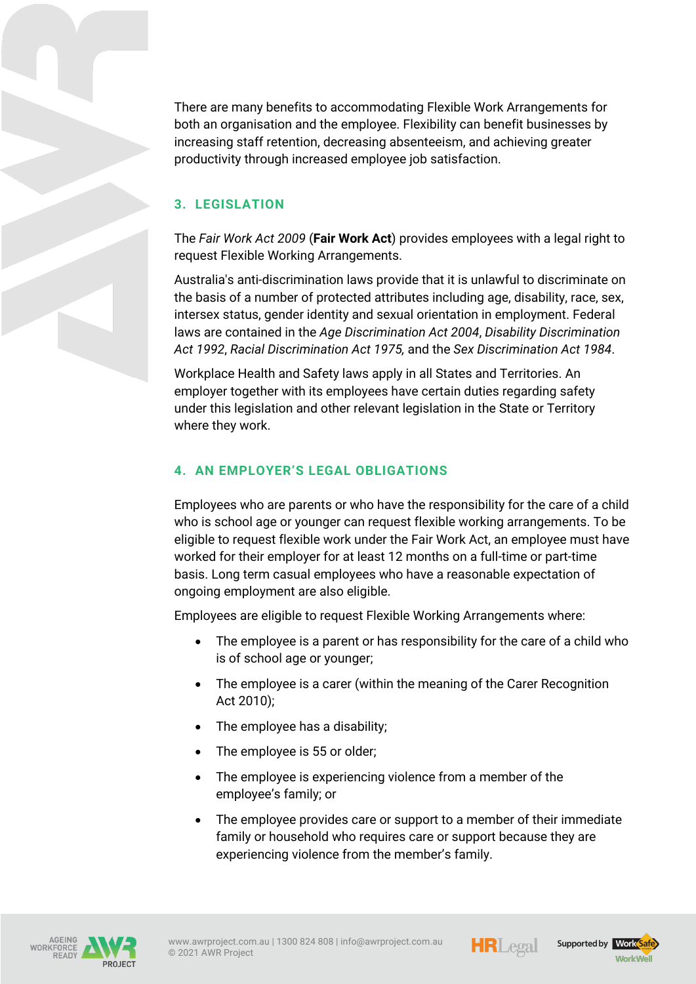There are many benefits to accommodating Flexible Work Arrangements for both an organisation and the employee. Flexibility can benefit businesses by increasing staff retention, decreasing absenteeism, and achieving greater productivity through increased employee job satisfaction.

## **3. LEGISLATION**

The *Fair Work Act 2009* (**Fair Work Act**) provides employees with a legal right to request Flexible Working Arrangements.

Australia's anti-discrimination laws provide that it is unlawful to discriminate on the basis of a number of protected attributes including age, disability, race, sex, intersex status, gender identity and sexual orientation in employment. Federal laws are contained in the *Age Discrimination Act 2004*, *Disability Discrimination Act 1992*, *Racial Discrimination Act 1975,* and the *Sex Discrimination Act 1984*.

Workplace Health and Safety laws apply in all States and Territories. An employer together with its employees have certain duties regarding safety under this legislation and other relevant legislation in the State or Territory where they work.

### **4. AN EMPLOYER'S LEGAL OBLIGATIONS**

Employees who are parents or who have the responsibility for the care of a child who is school age or younger can request flexible working arrangements. To be eligible to request flexible work under the Fair Work Act, an employee must have worked for their employer for at least 12 months on a full-time or part-time basis. Long term casual employees who have a reasonable expectation of ongoing employment are also eligible.

Employees are eligible to request Flexible Working Arrangements where:

- The employee is a parent or has responsibility for the care of a child who is of school age or younger;
- The employee is a carer (within the meaning of the Carer Recognition Act 2010);
- The employee has a disability;
- The employee is 55 or older;
- The employee is experiencing violence from a member of the employee's family; or
- The employee provides care or support to a member of their immediate family or household who requires care or support because they are experiencing violence from the member's family.







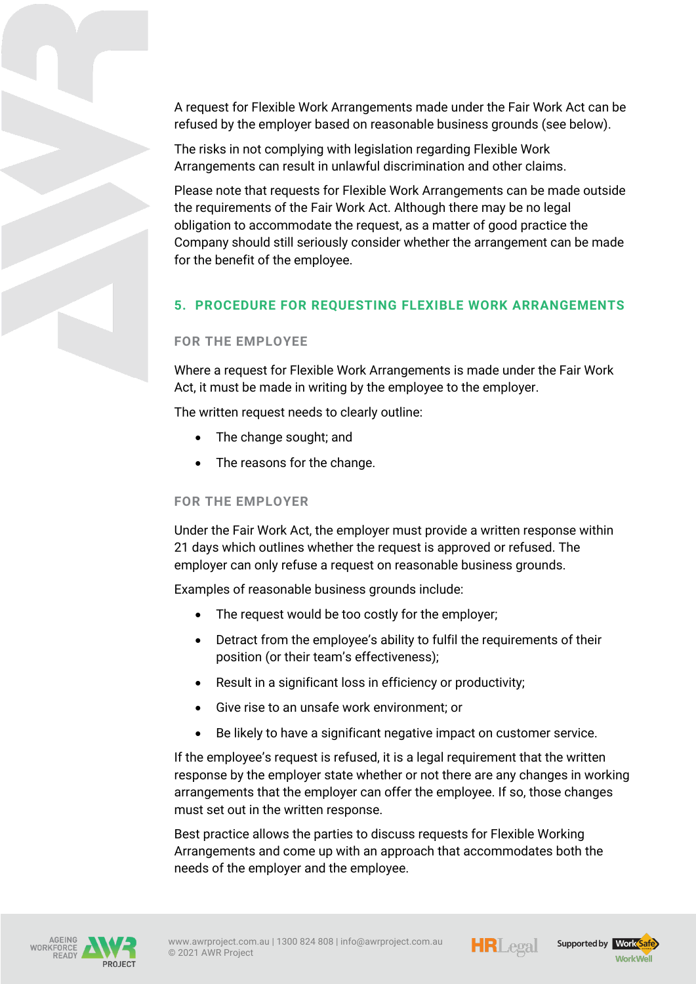A request for Flexible Work Arrangements made under the Fair Work Act can be refused by the employer based on reasonable business grounds (see below).

The risks in not complying with legislation regarding Flexible Work Arrangements can result in unlawful discrimination and other claims.

Please note that requests for Flexible Work Arrangements can be made outside the requirements of the Fair Work Act. Although there may be no legal obligation to accommodate the request, as a matter of good practice the Company should still seriously consider whether the arrangement can be made for the benefit of the employee.

## **5. PROCEDURE FOR REQUESTING FLEXIBLE WORK ARRANGEMENTS**

#### **FOR THE EMPLOYEE**

Where a request for Flexible Work Arrangements is made under the Fair Work Act, it must be made in writing by the employee to the employer.

The written request needs to clearly outline:

- The change sought; and
- The reasons for the change.

### **FOR THE EMPLOYER**

Under the Fair Work Act, the employer must provide a written response within 21 days which outlines whether the request is approved or refused. The employer can only refuse a request on reasonable business grounds.

Examples of reasonable business grounds include:

- The request would be too costly for the employer;
- Detract from the employee's ability to fulfil the requirements of their position (or their team's effectiveness);
- Result in a significant loss in efficiency or productivity;
- Give rise to an unsafe work environment; or
- Be likely to have a significant negative impact on customer service.

If the employee's request is refused, it is a legal requirement that the written response by the employer state whether or not there are any changes in working arrangements that the employer can offer the employee. If so, those changes must set out in the written response.

Best practice allows the parties to discuss requests for Flexible Working Arrangements and come up with an approach that accommodates both the needs of the employer and the employee.





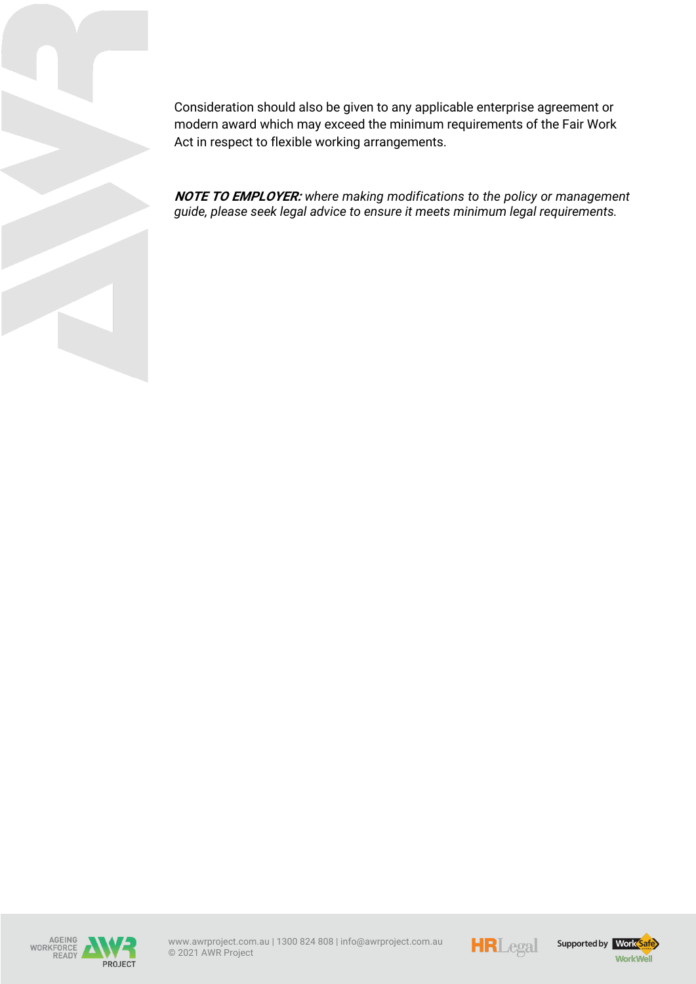Consideration should also be given to any applicable enterprise agreement or modern award which may exceed the minimum requirements of the Fair Work Act in respect to flexible working arrangements.

**NOTE TO EMPLOYER:** *where making modifications to the policy or management guide, please seek legal advice to ensure it meets minimum legal requirements.*